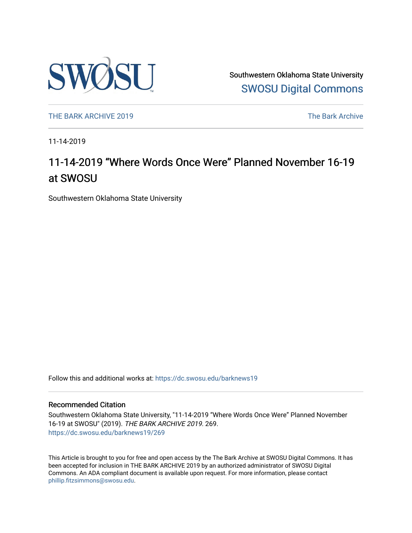

Southwestern Oklahoma State University [SWOSU Digital Commons](https://dc.swosu.edu/) 

[THE BARK ARCHIVE 2019](https://dc.swosu.edu/barknews19) The Bark Archive

11-14-2019

## 11-14-2019 "Where Words Once Were" Planned November 16-19 at SWOSU

Southwestern Oklahoma State University

Follow this and additional works at: [https://dc.swosu.edu/barknews19](https://dc.swosu.edu/barknews19?utm_source=dc.swosu.edu%2Fbarknews19%2F269&utm_medium=PDF&utm_campaign=PDFCoverPages)

#### Recommended Citation

Southwestern Oklahoma State University, "11-14-2019 "Where Words Once Were" Planned November 16-19 at SWOSU" (2019). THE BARK ARCHIVE 2019. 269. [https://dc.swosu.edu/barknews19/269](https://dc.swosu.edu/barknews19/269?utm_source=dc.swosu.edu%2Fbarknews19%2F269&utm_medium=PDF&utm_campaign=PDFCoverPages)

This Article is brought to you for free and open access by the The Bark Archive at SWOSU Digital Commons. It has been accepted for inclusion in THE BARK ARCHIVE 2019 by an authorized administrator of SWOSU Digital Commons. An ADA compliant document is available upon request. For more information, please contact [phillip.fitzsimmons@swosu.edu](mailto:phillip.fitzsimmons@swosu.edu).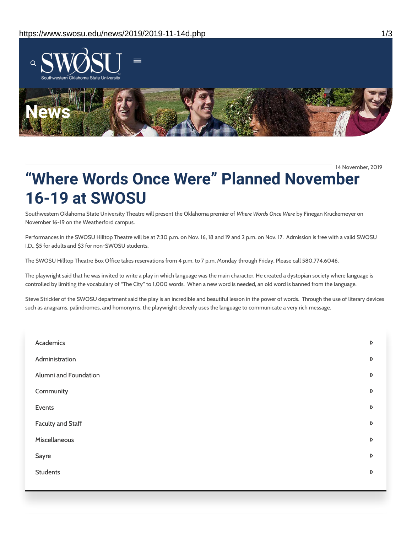

14 November, 2019

# **"Where Words Once Were" Planned November 16-19 at SWOSU**

Southwestern Oklahoma State University Theatre will present the Oklahoma premier of *Where Words Once Were* by Finegan Kruckemeyer on November 16-19 on the Weatherford campus.

Performances in the SWOSU Hilltop Theatre will be at 7:30 p.m. on Nov. 16, 18 and 19 and 2 p.m. on Nov. 17. Admission is free with a valid SWOSU I.D., \$5 for adults and \$3 for non-SWOSU students.

The SWOSU Hilltop Theatre Box Office takes reservations from 4 p.m. to 7 p.m. Monday through Friday. Please call 580.774.6046.

The playwright said that he was invited to write a play in which language was the main character. He created a dystopian society where language is controlled by limiting the vocabulary of "The City" to 1,000 words. When a new word is needed, an old word is banned from the language.

Steve Strickler of the SWOSU department said the play is an incredible and beautiful lesson in the power of words. Through the use of literary devices such as anagrams, palindromes, and homonyms, the playwright cleverly uses the language to communicate a very rich message.

| Academics                | D                |
|--------------------------|------------------|
| Administration           | D                |
| Alumni and Foundation    | $\triangleright$ |
| Community                | $\triangleright$ |
| Events                   | $\triangleright$ |
| <b>Faculty and Staff</b> | $\triangleright$ |
| Miscellaneous            | D                |
| Sayre                    | D                |
| <b>Students</b>          | $\triangleright$ |
|                          |                  |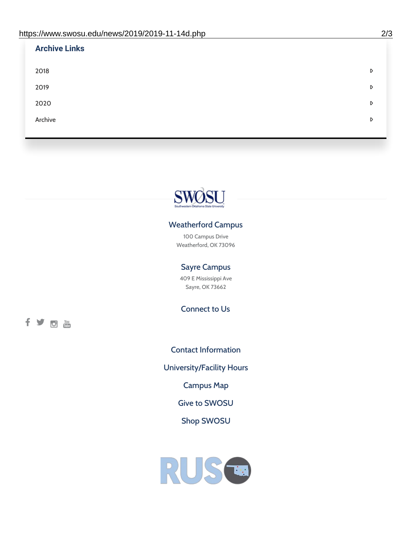| <b>Archive Links</b> |   |
|----------------------|---|
| 2018                 | D |
| 2019                 | D |
| 2020                 | D |
| Archive              | D |
|                      |   |



### Weatherford Campus

100 Campus Drive Weatherford, OK 73096

### Sayre Campus

409 E Mississippi Ave Sayre, OK 73662

Connect to Us

fyoth

Contact [Information](https://www.swosu.edu/about/contact.php) [University/Facility](https://www.swosu.edu/about/operating-hours.php) Hours [Campus](https://map.concept3d.com/?id=768#!ct/10964,10214,10213,10212,10205,10204,10203,10202,10136,10129,10128,0,31226,10130,10201,10641,0) Map Give to [SWOSU](https://standingfirmly.com/donate) Shop [SWOSU](https://shopswosu.merchorders.com/)